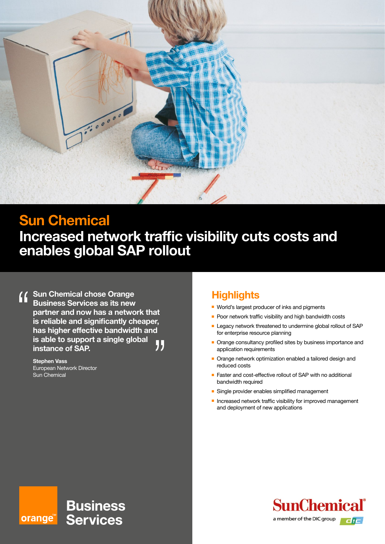

# **Sun Chemical**

**Increased network traffic visibility cuts costs and enables global SAP rollout**

**Sun Chemical chose Orange Business Services as its new partner and now has a network that is reliable and significantly cheaper, has higher effective bandwidth and is able to support a single global**  11 **instance of SAP.**

**Stephen Vass** European Network Director Sun Chemical

### **Highlights**

- World's largest producer of inks and pigments
- $\blacksquare$  Poor network traffic visibility and high bandwidth costs
- Legacy network threatened to undermine global rollout of SAP for enterprise resource planning
- Orange consultancy profiled sites by business importance and application requirements
- Orange network optimization enabled a tailored design and reduced costs
- Faster and cost-effective rollout of SAP with no additional bandwidth required
- **n** Single provider enables simplified management
- $\blacksquare$  Increased network traffic visibility for improved management and deployment of new applications